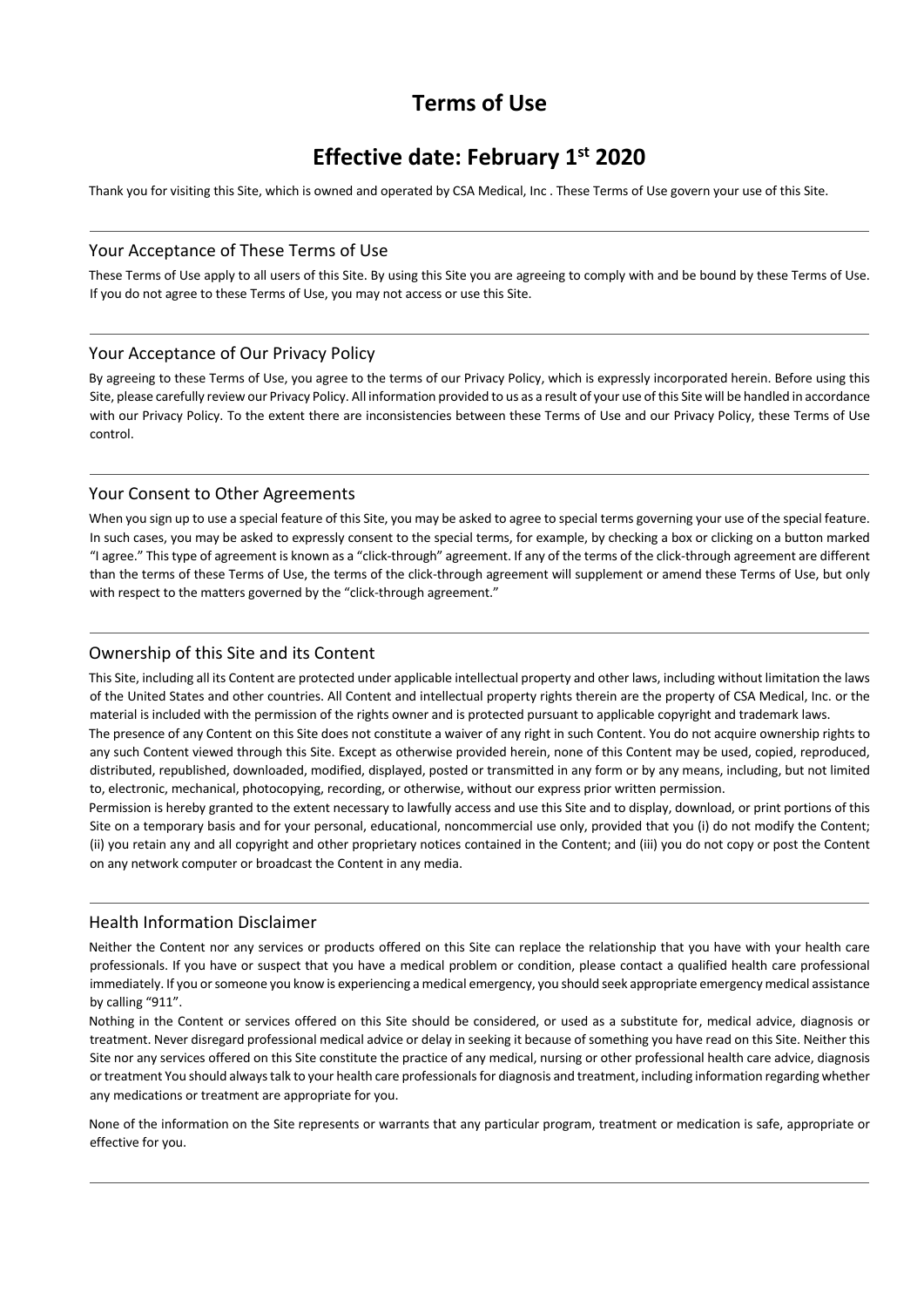# **Terms of Use**

# **Effective date: February 1st 2020**

Thank you for visiting this Site, which is owned and operated by CSA Medical, Inc . These Terms of Use govern your use of this Site.

## Your Acceptance of These Terms of Use

These Terms of Use apply to all users of this Site. By using this Site you are agreeing to comply with and be bound by these Terms of Use. If you do not agree to these Terms of Use, you may not access or use this Site.

### Your Acceptance of Our Privacy Policy

By agreeing to these Terms of Use, you agree to the terms of our Privacy Policy, which is expressly incorporated herein. Before using this Site, please carefully review our Privacy Policy. All information provided to us as a result of your use of this Site will be handled in accordance with our Privacy Policy. To the extent there are inconsistencies between these Terms of Use and our Privacy Policy, these Terms of Use control.

### Your Consent to Other Agreements

When you sign up to use a special feature of this Site, you may be asked to agree to special terms governing your use of the special feature. In such cases, you may be asked to expressly consent to the special terms, for example, by checking a box or clicking on a button marked "I agree." This type of agreement is known as a "click-through" agreement. If any of the terms of the click-through agreement are different than the terms of these Terms of Use, the terms of the click-through agreement will supplement or amend these Terms of Use, but only with respect to the matters governed by the "click-through agreement."

## Ownership of this Site and its Content

This Site, including all its Content are protected under applicable intellectual property and other laws, including without limitation the laws of the United States and other countries. All Content and intellectual property rights therein are the property of CSA Medical, Inc. or the material is included with the permission of the rights owner and is protected pursuant to applicable copyright and trademark laws.

The presence of any Content on this Site does not constitute a waiver of any right in such Content. You do not acquire ownership rights to any such Content viewed through this Site. Except as otherwise provided herein, none of this Content may be used, copied, reproduced, distributed, republished, downloaded, modified, displayed, posted or transmitted in any form or by any means, including, but not limited to, electronic, mechanical, photocopying, recording, or otherwise, without our express prior written permission.

Permission is hereby granted to the extent necessary to lawfully access and use this Site and to display, download, or print portions of this Site on a temporary basis and for your personal, educational, noncommercial use only, provided that you (i) do not modify the Content; (ii) you retain any and all copyright and other proprietary notices contained in the Content; and (iii) you do not copy or post the Content on any network computer or broadcast the Content in any media.

## Health Information Disclaimer

Neither the Content nor any services or products offered on this Site can replace the relationship that you have with your health care professionals. If you have or suspect that you have a medical problem or condition, please contact a qualified health care professional immediately. If you or someone you know is experiencing a medical emergency, you should seek appropriate emergency medical assistance by calling "911".

Nothing in the Content or services offered on this Site should be considered, or used as a substitute for, medical advice, diagnosis or treatment. Never disregard professional medical advice or delay in seeking it because of something you have read on this Site. Neither this Site nor any services offered on this Site constitute the practice of any medical, nursing or other professional health care advice, diagnosis or treatment You should always talk to your health care professionals for diagnosis and treatment, including information regarding whether any medications or treatment are appropriate for you.

None of the information on the Site represents or warrants that any particular program, treatment or medication is safe, appropriate or effective for you.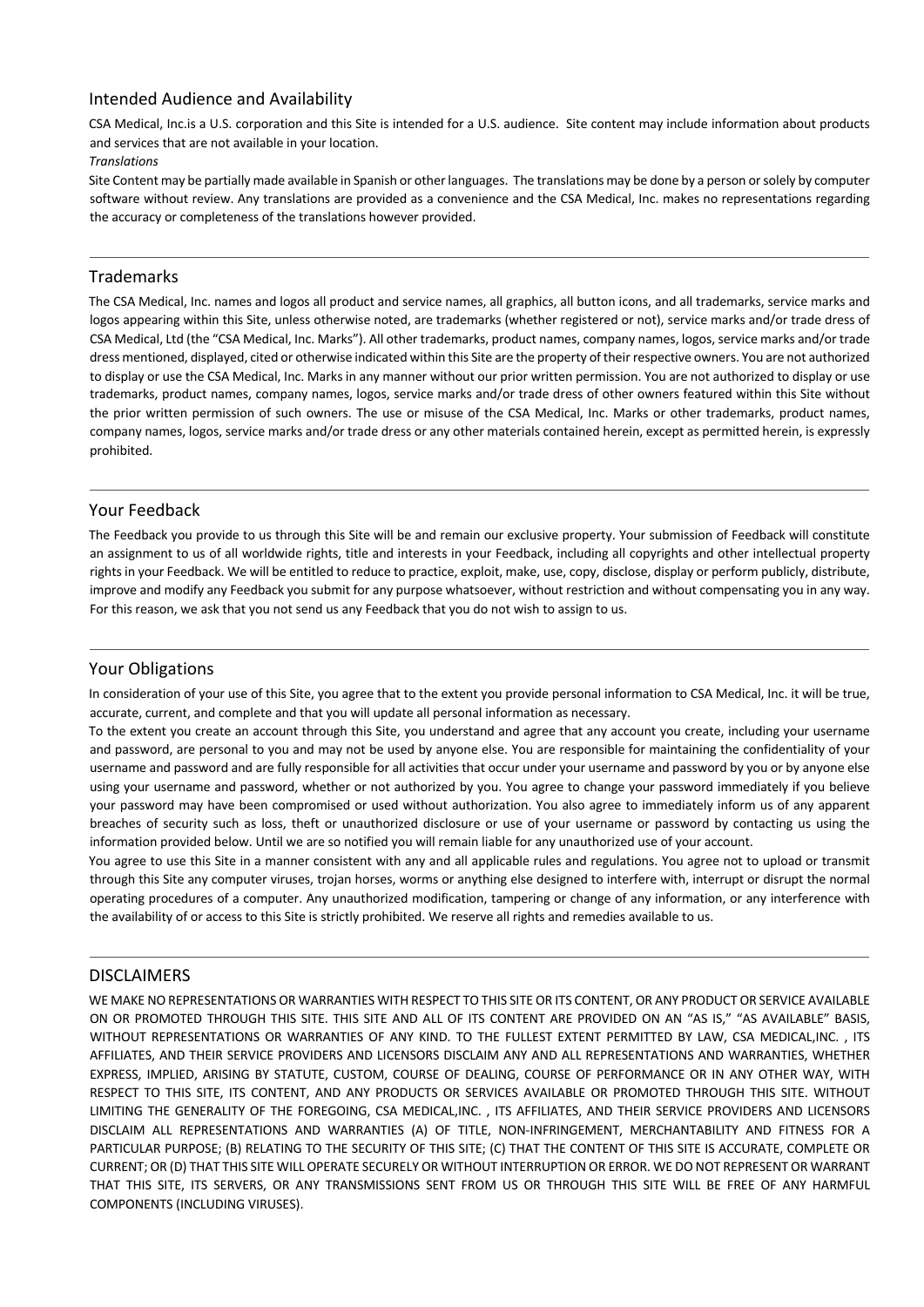# Intended Audience and Availability

CSA Medical, Inc.is a U.S. corporation and this Site is intended for a U.S. audience. Site content may include information about products and services that are not available in your location.

#### *Translations*

Site Content may be partially made available in Spanish or other languages. The translations may be done by a person or solely by computer software without review. Any translations are provided as a convenience and the CSA Medical, Inc. makes no representations regarding the accuracy or completeness of the translations however provided.

## Trademarks

The CSA Medical, Inc. names and logos all product and service names, all graphics, all button icons, and all trademarks, service marks and logos appearing within this Site, unless otherwise noted, are trademarks (whether registered or not), service marks and/or trade dress of CSA Medical, Ltd (the "CSA Medical, Inc. Marks"). All other trademarks, product names, company names, logos, service marks and/or trade dress mentioned, displayed, cited or otherwise indicated within this Site are the property of their respective owners. You are not authorized to display or use the CSA Medical, Inc. Marks in any manner without our prior written permission. You are not authorized to display or use trademarks, product names, company names, logos, service marks and/or trade dress of other owners featured within this Site without the prior written permission of such owners. The use or misuse of the CSA Medical, Inc. Marks or other trademarks, product names, company names, logos, service marks and/or trade dress or any other materials contained herein, except as permitted herein, is expressly prohibited.

### Your Feedback

The Feedback you provide to us through this Site will be and remain our exclusive property. Your submission of Feedback will constitute an assignment to us of all worldwide rights, title and interests in your Feedback, including all copyrights and other intellectual property rights in your Feedback. We will be entitled to reduce to practice, exploit, make, use, copy, disclose, display or perform publicly, distribute, improve and modify any Feedback you submit for any purpose whatsoever, without restriction and without compensating you in any way. For this reason, we ask that you not send us any Feedback that you do not wish to assign to us.

# Your Obligations

In consideration of your use of this Site, you agree that to the extent you provide personal information to CSA Medical, Inc. it will be true, accurate, current, and complete and that you will update all personal information as necessary.

To the extent you create an account through this Site, you understand and agree that any account you create, including your username and password, are personal to you and may not be used by anyone else. You are responsible for maintaining the confidentiality of your username and password and are fully responsible for all activities that occur under your username and password by you or by anyone else using your username and password, whether or not authorized by you. You agree to change your password immediately if you believe your password may have been compromised or used without authorization. You also agree to immediately inform us of any apparent breaches of security such as loss, theft or unauthorized disclosure or use of your username or password by contacting us using the information provided below. Until we are so notified you will remain liable for any unauthorized use of your account.

You agree to use this Site in a manner consistent with any and all applicable rules and regulations. You agree not to upload or transmit through this Site any computer viruses, trojan horses, worms or anything else designed to interfere with, interrupt or disrupt the normal operating procedures of a computer. Any unauthorized modification, tampering or change of any information, or any interference with the availability of or access to this Site is strictly prohibited. We reserve all rights and remedies available to us.

### DISCLAIMERS

WE MAKE NO REPRESENTATIONS OR WARRANTIES WITH RESPECT TO THIS SITE OR ITS CONTENT, OR ANY PRODUCT OR SERVICE AVAILABLE ON OR PROMOTED THROUGH THIS SITE. THIS SITE AND ALL OF ITS CONTENT ARE PROVIDED ON AN "AS IS," "AS AVAILABLE" BASIS, WITHOUT REPRESENTATIONS OR WARRANTIES OF ANY KIND. TO THE FULLEST EXTENT PERMITTED BY LAW, CSA MEDICAL,INC. , ITS AFFILIATES, AND THEIR SERVICE PROVIDERS AND LICENSORS DISCLAIM ANY AND ALL REPRESENTATIONS AND WARRANTIES, WHETHER EXPRESS, IMPLIED, ARISING BY STATUTE, CUSTOM, COURSE OF DEALING, COURSE OF PERFORMANCE OR IN ANY OTHER WAY, WITH RESPECT TO THIS SITE, ITS CONTENT, AND ANY PRODUCTS OR SERVICES AVAILABLE OR PROMOTED THROUGH THIS SITE. WITHOUT LIMITING THE GENERALITY OF THE FOREGOING, CSA MEDICAL,INC. , ITS AFFILIATES, AND THEIR SERVICE PROVIDERS AND LICENSORS DISCLAIM ALL REPRESENTATIONS AND WARRANTIES (A) OF TITLE, NON-INFRINGEMENT, MERCHANTABILITY AND FITNESS FOR A PARTICULAR PURPOSE; (B) RELATING TO THE SECURITY OF THIS SITE; (C) THAT THE CONTENT OF THIS SITE IS ACCURATE, COMPLETE OR CURRENT; OR (D) THAT THIS SITE WILL OPERATE SECURELY OR WITHOUT INTERRUPTION OR ERROR. WE DO NOT REPRESENT OR WARRANT THAT THIS SITE, ITS SERVERS, OR ANY TRANSMISSIONS SENT FROM US OR THROUGH THIS SITE WILL BE FREE OF ANY HARMFUL COMPONENTS (INCLUDING VIRUSES).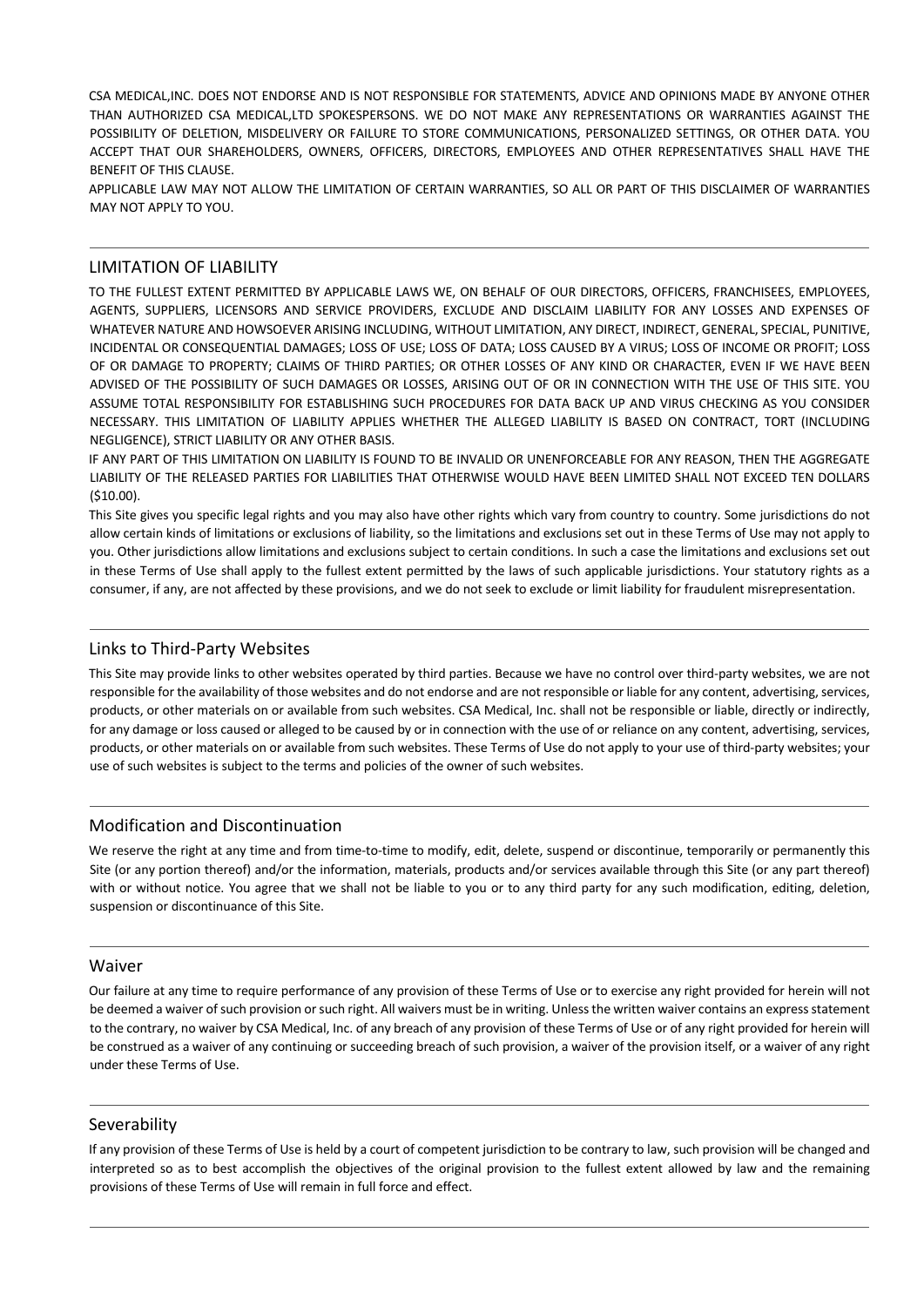CSA MEDICAL,INC. DOES NOT ENDORSE AND IS NOT RESPONSIBLE FOR STATEMENTS, ADVICE AND OPINIONS MADE BY ANYONE OTHER THAN AUTHORIZED CSA MEDICAL,LTD SPOKESPERSONS. WE DO NOT MAKE ANY REPRESENTATIONS OR WARRANTIES AGAINST THE POSSIBILITY OF DELETION, MISDELIVERY OR FAILURE TO STORE COMMUNICATIONS, PERSONALIZED SETTINGS, OR OTHER DATA. YOU ACCEPT THAT OUR SHAREHOLDERS, OWNERS, OFFICERS, DIRECTORS, EMPLOYEES AND OTHER REPRESENTATIVES SHALL HAVE THE BENEFIT OF THIS CLAUSE.

APPLICABLE LAW MAY NOT ALLOW THE LIMITATION OF CERTAIN WARRANTIES, SO ALL OR PART OF THIS DISCLAIMER OF WARRANTIES MAY NOT APPLY TO YOU.

### LIMITATION OF LIABILITY

TO THE FULLEST EXTENT PERMITTED BY APPLICABLE LAWS WE, ON BEHALF OF OUR DIRECTORS, OFFICERS, FRANCHISEES, EMPLOYEES, AGENTS, SUPPLIERS, LICENSORS AND SERVICE PROVIDERS, EXCLUDE AND DISCLAIM LIABILITY FOR ANY LOSSES AND EXPENSES OF WHATEVER NATURE AND HOWSOEVER ARISING INCLUDING, WITHOUT LIMITATION, ANY DIRECT, INDIRECT, GENERAL, SPECIAL, PUNITIVE, INCIDENTAL OR CONSEQUENTIAL DAMAGES; LOSS OF USE; LOSS OF DATA; LOSS CAUSED BY A VIRUS; LOSS OF INCOME OR PROFIT; LOSS OF OR DAMAGE TO PROPERTY; CLAIMS OF THIRD PARTIES; OR OTHER LOSSES OF ANY KIND OR CHARACTER, EVEN IF WE HAVE BEEN ADVISED OF THE POSSIBILITY OF SUCH DAMAGES OR LOSSES, ARISING OUT OF OR IN CONNECTION WITH THE USE OF THIS SITE. YOU ASSUME TOTAL RESPONSIBILITY FOR ESTABLISHING SUCH PROCEDURES FOR DATA BACK UP AND VIRUS CHECKING AS YOU CONSIDER NECESSARY. THIS LIMITATION OF LIABILITY APPLIES WHETHER THE ALLEGED LIABILITY IS BASED ON CONTRACT, TORT (INCLUDING NEGLIGENCE), STRICT LIABILITY OR ANY OTHER BASIS.

IF ANY PART OF THIS LIMITATION ON LIABILITY IS FOUND TO BE INVALID OR UNENFORCEABLE FOR ANY REASON, THEN THE AGGREGATE LIABILITY OF THE RELEASED PARTIES FOR LIABILITIES THAT OTHERWISE WOULD HAVE BEEN LIMITED SHALL NOT EXCEED TEN DOLLARS (\$10.00).

This Site gives you specific legal rights and you may also have other rights which vary from country to country. Some jurisdictions do not allow certain kinds of limitations or exclusions of liability, so the limitations and exclusions set out in these Terms of Use may not apply to you. Other jurisdictions allow limitations and exclusions subject to certain conditions. In such a case the limitations and exclusions set out in these Terms of Use shall apply to the fullest extent permitted by the laws of such applicable jurisdictions. Your statutory rights as a consumer, if any, are not affected by these provisions, and we do not seek to exclude or limit liability for fraudulent misrepresentation.

#### Links to Third-Party Websites

This Site may provide links to other websites operated by third parties. Because we have no control over third-party websites, we are not responsible for the availability of those websites and do not endorse and are not responsible or liable for any content, advertising, services, products, or other materials on or available from such websites. CSA Medical, Inc. shall not be responsible or liable, directly or indirectly, for any damage or loss caused or alleged to be caused by or in connection with the use of or reliance on any content, advertising, services, products, or other materials on or available from such websites. These Terms of Use do not apply to your use of third-party websites; your use of such websites is subject to the terms and policies of the owner of such websites.

## Modification and Discontinuation

We reserve the right at any time and from time-to-time to modify, edit, delete, suspend or discontinue, temporarily or permanently this Site (or any portion thereof) and/or the information, materials, products and/or services available through this Site (or any part thereof) with or without notice. You agree that we shall not be liable to you or to any third party for any such modification, editing, deletion, suspension or discontinuance of this Site.

#### Waiver

Our failure at any time to require performance of any provision of these Terms of Use or to exercise any right provided for herein will not be deemed a waiver of such provision or such right. All waivers must be in writing. Unless the written waiver contains an express statement to the contrary, no waiver by CSA Medical, Inc. of any breach of any provision of these Terms of Use or of any right provided for herein will be construed as a waiver of any continuing or succeeding breach of such provision, a waiver of the provision itself, or a waiver of any right under these Terms of Use.

#### Severability

If any provision of these Terms of Use is held by a court of competent jurisdiction to be contrary to law, such provision will be changed and interpreted so as to best accomplish the objectives of the original provision to the fullest extent allowed by law and the remaining provisions of these Terms of Use will remain in full force and effect.